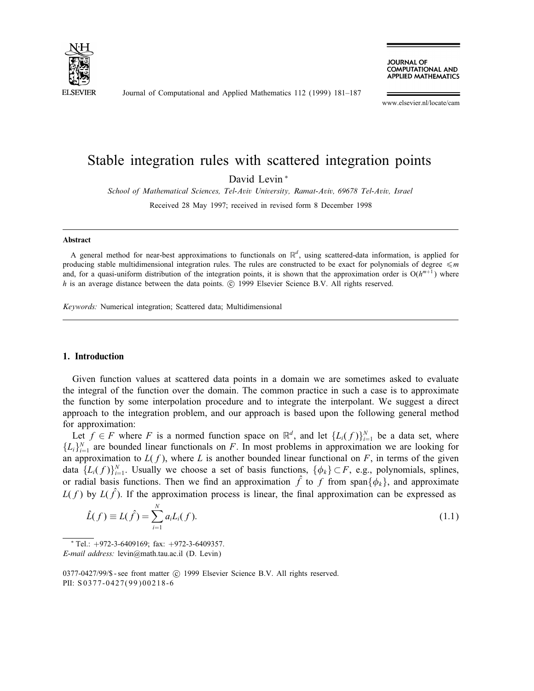

Journal of Computational and Applied Mathematics 112 (1999) 181–187

**JOURNAL OF COMPUTATIONAL AND APPLIED MATHEMATICS** 

www.elsevier.nl/locate/cam

# Stable integration rules with scattered integration points

David Levin <sup>∗</sup>

School of Mathematical Sciences, Tel-Aviv University, Ramat-Aviv, 69678 Tel-Aviv, Israel

Received 28 May 1997; received in revised form 8 December 1998

#### Abstract

A general method for near-best approximations to functionals on  $\mathbb{R}^d$ , using scattered-data information, is applied for producing stable multidimensional integration rules. The rules are constructed to be exact for polynomials of degree  $\leq m$ and, for a quasi-uniform distribution of the integration points, it is shown that the approximation order is  $O(h^{m+1})$  where  $h$  is an average distance between the data points.  $\odot$  1999 Elsevier Science B.V. All rights reserved.

Keywords: Numerical integration; Scattered data; Multidimensional

#### 1. Introduction

Given function values at scattered data points in a domain we are sometimes asked to evaluate the integral of the function over the domain. The common practice in such a case is to approximate the function by some interpolation procedure and to integrate the interpolant. We suggest a direct approach to the integration problem, and our approach is based upon the following general method for approximation:

Let  $f \in F$  where F is a normed function space on  $\mathbb{R}^d$ , and let  $\{L_i(f)\}_{i=1}^N$  be a data set, where  ${L_i}_{i=1}^N$  are bounded linear functionals on F. In most problems in approximation we are looking for an approximation to  $L(f)$ , where L is another bounded linear functional on F, in terms of the given data  $\{L_i(f)\}_{i=1}^N$ . Usually we choose a set of basis functions,  $\{\phi_k\} \subset F$ , e.g., polynomials, splines, or radial basis functions. Then we find an approximation  $\hat{f}$  to f from span $\{\phi_k\}$ , and approximate  $L(f)$  by  $L(f)$ . If the approximation process is linear, the final approximation can be expressed as

$$
\hat{L}(f) \equiv L(\hat{f}) = \sum_{i=1}^{N} a_i L_i(f).
$$
\n(1.1)

 $*$  Tel.:  $+972-3-6409169$ ; fax:  $+972-3-6409357$ . E-mail address: levin@math.tau.ac.il (D. Levin)

0377-0427/99/\$ - see front matter (c) 1999 Elsevier Science B.V. All rights reserved.

PII: S 0377-0427(99)00218-6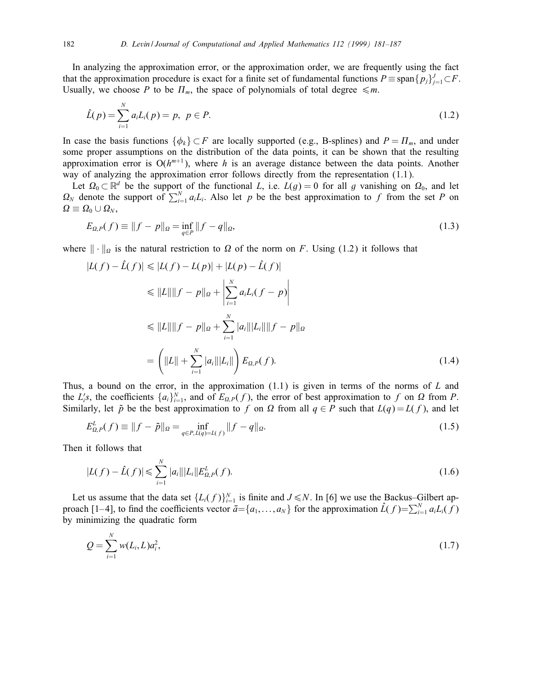In analyzing the approximation error, or the approximation order, we are frequently using the fact that the approximation procedure is exact for a finite set of fundamental functions  $P \equiv \text{span}{p_j}_{j=1}^J \subset F$ . Usually, we choose P to be  $\prod_m$ , the space of polynomials of total degree  $\leq m$ .

$$
\hat{L}(p) = \sum_{i=1}^{N} a_i L_i(p) = p, \ p \in P.
$$
\n(1.2)

In case the basis functions  $\{\phi_k\} \subset F$  are locally supported (e.g., B-splines) and  $P = \Pi_m$ , and under some proper assumptions on the distribution of the data points, it can be shown that the resulting approximation error is  $O(h^{m+1})$ , where h is an average distance between the data points. Another way of analyzing the approximation error follows directly from the representation (1.1).

Let  $\Omega_0 \subset \mathbb{R}^d$  be the support of the functional L, i.e.  $L(g) = 0$  for all g vanishing on  $\Omega_0$ , and let  $\Omega_N$  denote the support of  $\sum_{i=1}^N a_i L_i$ . Also let p be the best approximation to f from the set P on  $\varOmega\equiv\varOmega_{0}\cup\varOmega_{N},$ 

$$
E_{\Omega,P}(f) \equiv ||f - p||_{\Omega} = \inf_{q \in P} ||f - q||_{\Omega},
$$
\n(1.3)

where  $\|\cdot\|_{\Omega}$  is the natural restriction to  $\Omega$  of the norm on F. Using (1.2) it follows that

$$
|L(f) - \hat{L}(f)| \le |L(f) - L(p)| + |L(p) - \hat{L}(f)|
$$
  
\n
$$
\le ||L|| ||f - p||_{\Omega} + \left| \sum_{i=1}^{N} a_{i}L_{i}(f - p) \right|
$$
  
\n
$$
\le ||L|| ||f - p||_{\Omega} + \sum_{i=1}^{N} |a_{i}|| |L_{i}|| ||f - p||_{\Omega}
$$
  
\n
$$
= \left( ||L|| + \sum_{i=1}^{N} |a_{i}|| |L_{i}|| \right) E_{\Omega, P}(f).
$$
 (1.4)

Thus, a bound on the error, in the approximation  $(1.1)$  is given in terms of the norms of L and the  $L_i$ 's, the coefficients  $\{a_i\}_{i=1}^N$ , and of  $E_{\Omega,P}(f)$ , the error of best approximation to f on  $\Omega$  from P. Similarly, let  $\tilde{p}$  be the best approximation to f on  $\Omega$  from all  $q \in P$  such that  $L(q) = L(f)$ , and let

$$
E_{\Omega,P}^L(f) \equiv ||f - \tilde{p}||_{\Omega} = \inf_{q \in P, L(q) = L(f)} ||f - q||_{\Omega}.
$$
\n(1.5)

Then it follows that

$$
|L(f) - \hat{L}(f)| \leq \sum_{i=1}^{N} |a_i|||L_i||E_{\Omega,P}^L(f).
$$
\n(1.6)

Let us assume that the data set  $\{L_i(f)\}_{i=1}^N$  is finite and  $J \le N$ . In [6] we use the Backus–Gilbert approach [1–4], to find the coefficients vector  $\bar{a} = \{a_1, \ldots, a_N\}$  for the approximation  $\hat{L}(f) = \sum_{i=1}^{N} a_i L_i(f)$ by minimizing the quadratic form

$$
Q = \sum_{i=1}^{N} w(L_i, L) a_i^2,
$$
\n(1.7)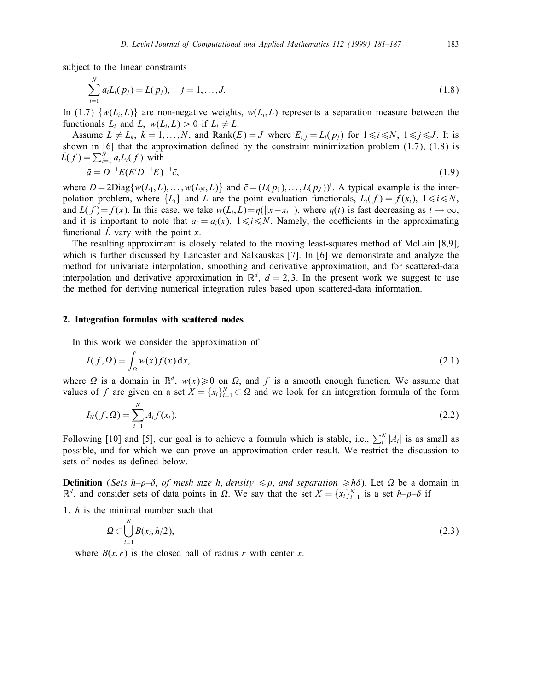subject to the linear constraints

$$
\sum_{i=1}^{N} a_i L_i(p_j) = L(p_j), \quad j = 1, ..., J.
$$
\n(1.8)

In (1.7)  $\{w(L_i, L)\}\$  are non-negative weights,  $w(L_i, L)$  represents a separation measure between the functionals  $L_i$  and  $L$ ,  $w(L_i, L) > 0$  if  $L_i \neq L$ .

Assume  $L \neq L_k$ ,  $k = 1,...,N$ , and Rank $(E) = J$  where  $E_{i,j} = L_i(p_i)$  for  $1 \le i \le N$ ,  $1 \le j \le J$ . It is shown in  $[6]$  that the approximation defined by the constraint minimization problem  $(1.7)$ ,  $(1.8)$  is  $\hat{L}(f) = \sum_{i=1}^{N} a_i L_i(f)$  with

$$
\bar{a} = D^{-1}E(E^t D^{-1}E)^{-1}\bar{c},\tag{1.9}
$$

where  $D = 2Diag\{w(L_1, L),..., w(L_N, L)\}\$  and  $\bar{c} = (L(p_1),..., L(p_J))$ <sup>t</sup>. A typical example is the interpolation problem, where  $\{L_i\}$  and L are the point evaluation functionals,  $L_i(f) = f(x_i)$ ,  $1 \le i \le N$ , and  $L(f)=f(x)$ . In this case, we take  $w(L_i, L)=\eta(||x-x_i||)$ , where  $\eta(t)$  is fast decreasing as  $t \to \infty$ , and it is important to note that  $a_i = a_i(x)$ ,  $1 \le i \le N$ . Namely, the coefficients in the approximating functional  $\hat{L}$  vary with the point x.

The resulting approximant is closely related to the moving least-squares method of McLain [8,9], which is further discussed by Lancaster and Salkauskas [7]. In [6] we demonstrate and analyze the method for univariate interpolation, smoothing and derivative approximation, and for scattered-data interpolation and derivative approximation in  $\mathbb{R}^d$ ,  $d = 2, 3$ . In the present work we suggest to use the method for deriving numerical integration rules based upon scattered-data information.

#### 2. Integration formulas with scattered nodes

In this work we consider the approximation of

$$
I(f, \Omega) = \int_{\Omega} w(x) f(x) \, \mathrm{d}x,\tag{2.1}
$$

where  $\Omega$  is a domain in  $\mathbb{R}^d$ ,  $w(x) \ge 0$  on  $\Omega$ , and f is a smooth enough function. We assume that values of f are given on a set  $X = \{x_i\}_{i=1}^N \subset \Omega$  and we look for an integration formula of the form

$$
I_N(f, \Omega) = \sum_{i=1}^N A_i f(x_i).
$$
 (2.2)

Following [10] and [5], our goal is to achieve a formula which is stable, i.e.,  $\sum_i^N |A_i|$  is as small as possible, and for which we can prove an approximation order result. We restrict the discussion to sets of nodes as defined below.

**Definition** (Sets h- $\rho$ - $\delta$ , of mesh size h, density  $\leq \rho$ , and separation  $\geq h\delta$ ). Let  $\Omega$  be a domain in  $\mathbb{R}^d$ , and consider sets of data points in  $\Omega$ . We say that the set  $X = \{x_i\}_{i=1}^N$  is a set  $h-\rho-\delta$  if

1. h is the minimal number such that

$$
\Omega \subset \bigcup_{i=1}^N B(x_i, h/2),\tag{2.3}
$$

where  $B(x, r)$  is the closed ball of radius r with center x.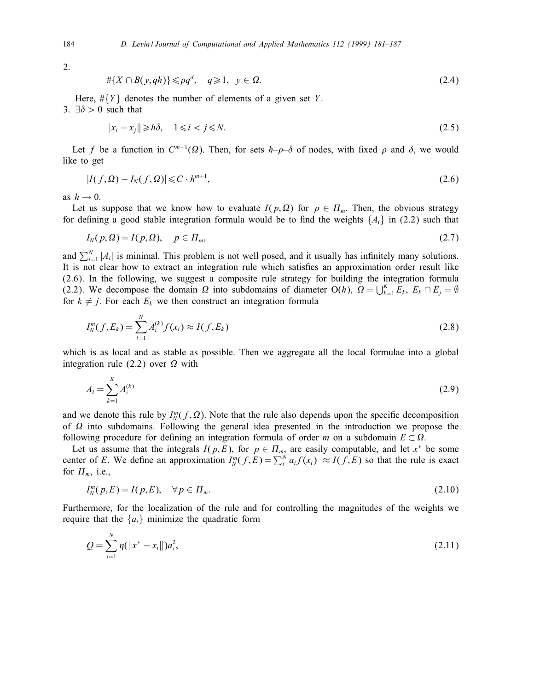2.

$$
\#\{X \cap B(y, qh)\} \leqslant \rho q^d, \quad q \geqslant 1, \quad y \in \Omega. \tag{2.4}
$$

Here,  $\#\{Y\}$  denotes the number of elements of a given set Y. 3.  $\exists \delta > 0$  such that

$$
||x_i - x_j|| \ge h\delta, \quad 1 \le i < j \le N. \tag{2.5}
$$

Let f be a function in  $C^{m+1}(\Omega)$ . Then, for sets  $h-\rho-\delta$  of nodes, with fixed  $\rho$  and  $\delta$ , we would like to get

$$
|I(f,\Omega)-I_N(f,\Omega)|\leqslant C\cdot h^{m+1},\tag{2.6}
$$

as  $h \rightarrow 0$ .

Let us suppose that we know how to evaluate  $I(p, \Omega)$  for  $p \in \Pi_m$ . Then, the obvious strategy for defining a good stable integration formula would be to find the weights  $\{A_i\}$  in (2.2) such that

$$
I_N(p,\Omega) = I(p,\Omega), \quad p \in \Pi_m,\tag{2.7}
$$

and  $\sum_{i=1}^{N} |A_i|$  is minimal. This problem is not well posed, and it usually has infinitely many solutions. It is not clear how to extract an integration rule which satisfies an approximation order result like (2.6). In the following, we suggest a composite rule strategy for building the integration formula (2.2). We decompose the domain  $\Omega$  into subdomains of diameter O(h),  $\Omega = \bigcup_{k=1}^{K} E_k$ ,  $E_k \cap E_j = \emptyset$ for  $k \neq j$ . For each  $E_k$  we then construct an integration formula

$$
I_N^m(f, E_k) = \sum_{i=1}^N A_i^{(k)} f(x_i) \approx I(f, E_k)
$$
\n(2.8)

which is as local and as stable as possible. Then we aggregate all the local formulae into a global integration rule (2.2) over  $\Omega$  with

$$
A_i = \sum_{k=1}^{K} A_i^{(k)} \tag{2.9}
$$

and we denote this rule by  $I_N^m(f, \Omega)$ . Note that the rule also depends upon the specific decomposition of  $\Omega$  into subdomains. Following the general idea presented in the introduction we propose the following procedure for defining an integration formula of order m on a subdomain  $E \subset \Omega$ .

Let us assume that the integrals  $I(p, E)$ , for  $p \in \Pi_{m}$ , are easily computable, and let  $x^*$  be some center of E. We define an approximation  $I_N^m(f, E) = \sum_i^N a_i f(x_i) \approx I(f, E)$  so that the rule is exact for  $\Pi_m$ , i.e.,

$$
I_N^m(p,E) = I(p,E), \quad \forall \, p \in \Pi_m. \tag{2.10}
$$

Furthermore, for the localization of the rule and for controlling the magnitudes of the weights we require that the  $\{a_i\}$  minimize the quadratic form

$$
Q = \sum_{i=1}^{N} \eta(\|x^* - x_i\|) a_i^2,
$$
\n(2.11)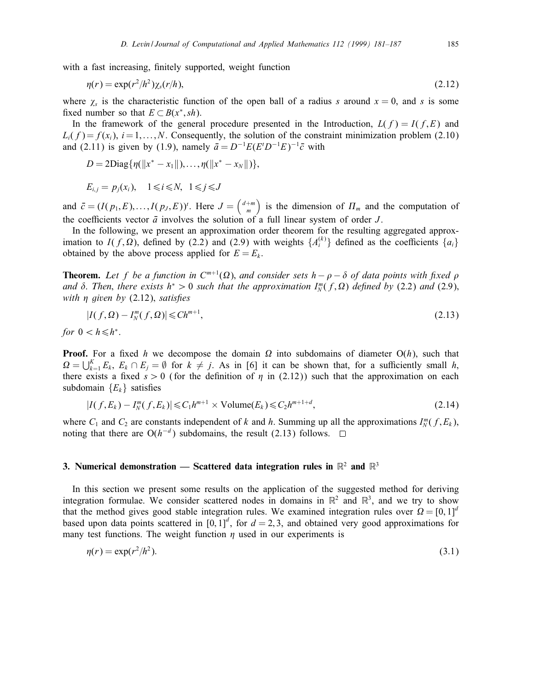with a fast increasing, finitely supported, weight function

$$
\eta(r) = \exp(r^2/h^2)\chi_s(r/h),\tag{2.12}
$$

where  $\chi_s$  is the characteristic function of the open ball of a radius s around  $x = 0$ , and s is some fixed number so that  $E \subset B(x^*, sh)$ .

In the framework of the general procedure presented in the Introduction,  $L(f) = I(f, E)$  and  $L_i(f) = f(x_i)$ ,  $i = 1,...,N$ . Consequently, the solution of the constraint minimization problem (2.10) and (2.11) is given by (1.9), namely  $\bar{a} = D^{-1}E(E^t D^{-1}E)^{-1}\bar{c}$  with

$$
D = 2\text{Diag}\{\eta(\|x^* - x_1\|), \ldots, \eta(\|x^* - x_N\|)\},\
$$

$$
E_{i,j} = p_j(x_i), \quad 1 \leq i \leq N, \quad 1 \leq j \leq J
$$

and  $\bar{c} = (I(p_1, E),..., I(p_J, E))^t$ . Here  $J = \begin{pmatrix} d+m \\ m \end{pmatrix}$  is the dimension of  $\Pi_m$  and the computation of the coefficients vector  $\bar{a}$  involves the solution of a full linear system of order  $J$ .

In the following, we present an approximation order theorem for the resulting aggregated approximation to  $I(f,\Omega)$ , defined by (2.2) and (2.9) with weights  $\{A_i^{(k)}\}$  defined as the coefficients  $\{a_i\}$ obtained by the above process applied for  $E = E_k$ .

**Theorem.** Let f be a function in  $C^{m+1}(\Omega)$ , and consider sets  $h - \rho - \delta$  of data points with fixed  $\rho$ and  $\delta$ . Then, there exists  $h^* > 0$  such that the approximation  $I_N^m(f, \Omega)$  defined by (2.2) and (2.9), with  $\eta$  given by (2.12), satisfies

$$
|I(f,\Omega) - I_N^m(f,\Omega)| \le C h^{m+1},\tag{2.13}
$$

for  $0 < h \leq h^*$ .

**Proof.** For a fixed h we decompose the domain  $\Omega$  into subdomains of diameter  $O(h)$ , such that  $\Omega = \bigcup_{k=1}^K E_k$ ,  $E_k \cap E_j = \emptyset$  for  $k \neq j$ . As in [6] it can be shown that, for a sufficiently small h, there exists a fixed  $s > 0$  (for the definition of  $\eta$  in (2.12)) such that the approximation on each subdomain  ${E<sub>k</sub>}$  satisfies

$$
|I(f, E_k) - I_N^m(f, E_k)| \leqslant C_1 h^{m+1} \times \text{Volume}(E_k) \leqslant C_2 h^{m+1+d},\tag{2.14}
$$

where  $C_1$  and  $C_2$  are constants independent of k and h. Summing up all the approximations  $I_N^m(f, E_k)$ , noting that there are  $O(h^{-d})$  subdomains, the result (2.13) follows.  $□$ 

## 3. Numerical demonstration — Scattered data integration rules in  $\mathbb{R}^2$  and  $\mathbb{R}^3$

In this section we present some results on the application of the suggested method for deriving integration formulae. We consider scattered nodes in domains in  $\mathbb{R}^2$  and  $\mathbb{R}^3$ , and we try to show that the method gives good stable integration rules. We examined integration rules over  $\Omega = [0,1]^d$ based upon data points scattered in [0, 1]<sup>d</sup>, for  $d = 2, 3$ , and obtained very good approximations for many test functions. The weight function  $\eta$  used in our experiments is

$$
\eta(r) = \exp(r^2/h^2). \tag{3.1}
$$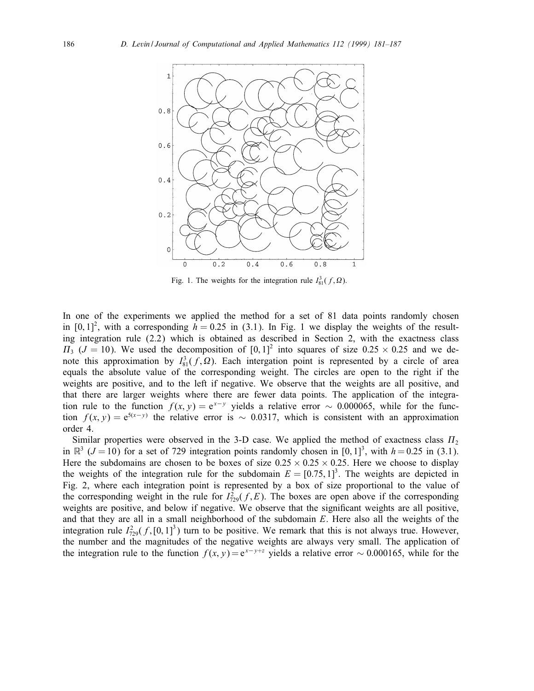

Fig. 1. The weights for the integration rule  $I_{81}^3(f, \Omega)$ .

In one of the experiments we applied the method for a set of 81 data points randomly chosen in  $[0, 1]^2$ , with a corresponding  $h = 0.25$  in (3.1). In Fig. 1 we display the weights of the resulting integration rule (2.2) which is obtained as described in Section 2, with the exactness class  $\Pi_3$  ( $J = 10$ ). We used the decomposition of  $[0, 1]^2$  into squares of size 0.25 × 0.25 and we denote this approximation by  $I_{81}^3(f, \Omega)$ . Each intergation point is represented by a circle of area equals the absolute value of the corresponding weight. The circles are open to the right if the weights are positive, and to the left if negative. We observe that the weights are all positive, and that there are larger weights where there are fewer data points. The application of the integration rule to the function  $f(x, y) = e^{x-y}$  yields a relative error ~ 0.000065, while for the function  $f(x, y) = e^{5(x-y)}$  the relative error is ~ 0.0317, which is consistent with an approximation order 4.

Similar properties were observed in the 3-D case. We applied the method of exactness class  $\Pi_2$ in  $\mathbb{R}^3$  ( $J = 10$ ) for a set of 729 integration points randomly chosen in [0, 1]<sup>3</sup>, with  $h = 0.25$  in (3.1). Here the subdomains are chosen to be boxes of size  $0.25 \times 0.25 \times 0.25$ . Here we choose to display the weights of the integration rule for the subdomain  $E = [0.75, 1]^3$ . The weights are depicted in Fig. 2, where each integration point is represented by a box of size proportional to the value of the corresponding weight in the rule for  $I_{729}^2(f, E)$ . The boxes are open above if the corresponding weights are positive, and below if negative. We observe that the significant weights are all positive, and that they are all in a small neighborhood of the subdomain  $E$ . Here also all the weights of the integration rule  $I_{729}^2(f,[0,1]^3)$  turn to be positive. We remark that this is not always true. However, the number and the magnitudes of the negative weights are always very small. The application of the integration rule to the function  $f(x, y) = e^{x-y+z}$  yields a relative error ~ 0.000165, while for the